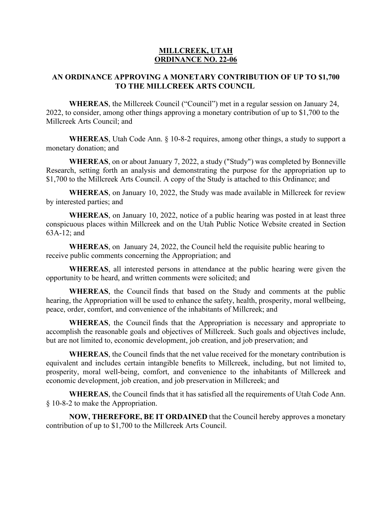### **MILLCREEK, UTAH ORDINANCE NO. 22-06**

## **AN ORDINANCE APPROVING A MONETARY CONTRIBUTION OF UP TO \$1,700 TO THE MILLCREEK ARTS COUNCIL**

**WHEREAS**, the Millcreek Council ("Council") met in a regular session on January 24, 2022, to consider, among other things approving a monetary contribution of up to \$1,700 to the Millcreek Arts Council; and

**WHEREAS**, Utah Code Ann. § 10-8-2 requires, among other things, a study to support a monetary donation; and

**WHEREAS**, on or about January 7, 2022, a study ("Study") was completed by Bonneville Research, setting forth an analysis and demonstrating the purpose for the appropriation up to \$1,700 to the Millcreek Arts Council. A copy of the Study is attached to this Ordinance; and

**WHEREAS**, on January 10, 2022, the Study was made available in Millcreek for review by interested parties; and

**WHEREAS**, on January 10, 2022, notice of a public hearing was posted in at least three conspicuous places within Millcreek and on the Utah Public Notice Website created in Section 63A-12; and

**WHEREAS**, on January 24, 2022, the Council held the requisite public hearing to receive public comments concerning the Appropriation; and

**WHEREAS**, all interested persons in attendance at the public hearing were given the opportunity to be heard, and written comments were solicited; and

**WHEREAS**, the Council finds that based on the Study and comments at the public hearing, the Appropriation will be used to enhance the safety, health, prosperity, moral wellbeing, peace, order, comfort, and convenience of the inhabitants of Millcreek; and

**WHEREAS**, the Council finds that the Appropriation is necessary and appropriate to accomplish the reasonable goals and objectives of Millcreek. Such goals and objectives include, but are not limited to, economic development, job creation, and job preservation; and

**WHEREAS**, the Council finds that the net value received for the monetary contribution is equivalent and includes certain intangible benefits to Millcreek, including, but not limited to, prosperity, moral well-being, comfort, and convenience to the inhabitants of Millcreek and economic development, job creation, and job preservation in Millcreek; and

**WHEREAS**, the Council finds that it has satisfied all the requirements of Utah Code Ann. § 10-8-2 to make the Appropriation.

**NOW, THEREFORE, BE IT ORDAINED** that the Council hereby approves a monetary contribution of up to \$1,700 to the Millcreek Arts Council.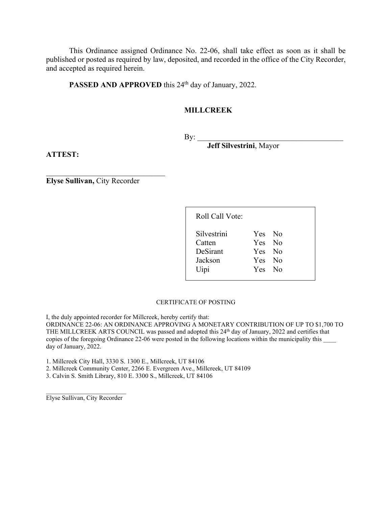This Ordinance assigned Ordinance No. 22-06, shall take effect as soon as it shall be published or posted as required by law, deposited, and recorded in the office of the City Recorder, and accepted as required herein.

PASSED AND APPROVED this 24<sup>th</sup> day of January, 2022.

### **MILLCREEK**

 $By:$ 

**Jeff Silvestrini**, Mayor

**ATTEST:**

**Elyse Sullivan,** City Recorder

| Roll Call Vote: |        |  |
|-----------------|--------|--|
| Silvestrini     | Yes No |  |
| Catten          | Yes No |  |
| DeSirant        | Yes No |  |
| Jackson         | Yes No |  |
| Uipi            | Yes No |  |
|                 |        |  |

#### CERTIFICATE OF POSTING

I, the duly appointed recorder for Millcreek, hereby certify that: ORDINANCE 22-06: AN ORDINANCE APPROVING A MONETARY CONTRIBUTION OF UP TO \$1,700 TO THE MILLCREEK ARTS COUNCIL was passed and adopted this 24<sup>th</sup> day of January, 2022 and certifies that copies of the foregoing Ordinance 22-06 were posted in the following locations within the municipality this day of January, 2022.

1. Millcreek City Hall, 3330 S. 1300 E., Millcreek, UT 84106

2. Millcreek Community Center, 2266 E. Evergreen Ave., Millcreek, UT 84109

3. Calvin S. Smith Library, 810 E. 3300 S., Millcreek, UT 84106

 $\overline{\phantom{a}}$  , and the set of the set of the set of the set of the set of the set of the set of the set of the set of the set of the set of the set of the set of the set of the set of the set of the set of the set of the s Elyse Sullivan, City Recorder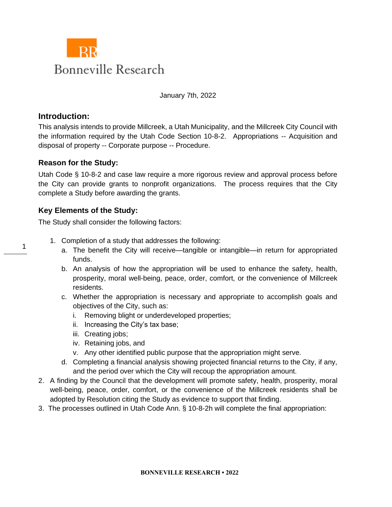

January 7th, 2022

## **Introduction:**

1

This analysis intends to provide Millcreek, a Utah Municipality, and the Millcreek City Council with the information required by the Utah Code Section 10-8-2. Appropriations -- Acquisition and disposal of property -- Corporate purpose -- Procedure.

## **Reason for the Study:**

Utah Code § 10-8-2 and case law require a more rigorous review and approval process before the City can provide grants to nonprofit organizations. The process requires that the City complete a Study before awarding the grants.

# **Key Elements of the Study:**

The Study shall consider the following factors:

- 1. Completion of a study that addresses the following:
	- a. The benefit the City will receive—tangible or intangible—in return for appropriated funds.
	- b. An analysis of how the appropriation will be used to enhance the safety, health, prosperity, moral well-being, peace, order, comfort, or the convenience of Millcreek residents.
	- c. Whether the appropriation is necessary and appropriate to accomplish goals and objectives of the City, such as:
		- i. Removing blight or underdeveloped properties;
		- ii. Increasing the City's tax base;
		- iii. Creating jobs;
		- iv. Retaining jobs, and
		- v. Any other identified public purpose that the appropriation might serve.
	- d. Completing a financial analysis showing projected financial returns to the City, if any, and the period over which the City will recoup the appropriation amount.
- 2. A finding by the Council that the development will promote safety, health, prosperity, moral well-being, peace, order, comfort, or the convenience of the Millcreek residents shall be adopted by Resolution citing the Study as evidence to support that finding.
- 3. The processes outlined in Utah Code Ann. § 10-8-2h will complete the final appropriation: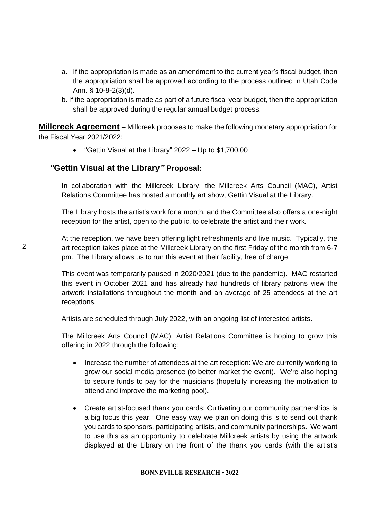- a. If the appropriation is made as an amendment to the current year's fiscal budget, then the appropriation shall be approved according to the process outlined in Utah Code Ann. § 10-8-2(3)(d).
- b. If the appropriation is made as part of a future fiscal year budget, then the appropriation shall be approved during the regular annual budget process.

**Millcreek Agreement** – Millcreek proposes to make the following monetary appropriation for the Fiscal Year 2021/2022:

• "Gettin Visual at the Library" 2022 – Up to \$1,700.00

# *"***Gettin Visual at the Library***"* **Proposal:**

In collaboration with the Millcreek Library, the Millcreek Arts Council (MAC), Artist Relations Committee has hosted a monthly art show, Gettin Visual at the Library.

The Library hosts the artist's work for a month, and the Committee also offers a one-night reception for the artist, open to the public, to celebrate the artist and their work.

At the reception, we have been offering light refreshments and live music. Typically, the art reception takes place at the Millcreek Library on the first Friday of the month from 6-7 pm. The Library allows us to run this event at their facility, free of charge.

This event was temporarily paused in 2020/2021 (due to the pandemic). MAC restarted this event in October 2021 and has already had hundreds of library patrons view the artwork installations throughout the month and an average of 25 attendees at the art receptions.

Artists are scheduled through July 2022, with an ongoing list of interested artists.

The Millcreek Arts Council (MAC), Artist Relations Committee is hoping to grow this offering in 2022 through the following:

- Increase the number of attendees at the art reception: We are currently working to grow our social media presence (to better market the event). We're also hoping to secure funds to pay for the musicians (hopefully increasing the motivation to attend and improve the marketing pool).
- Create artist-focused thank you cards: Cultivating our community partnerships is a big focus this year. One easy way we plan on doing this is to send out thank you cards to sponsors, participating artists, and community partnerships. We want to use this as an opportunity to celebrate Millcreek artists by using the artwork displayed at the Library on the front of the thank you cards (with the artist's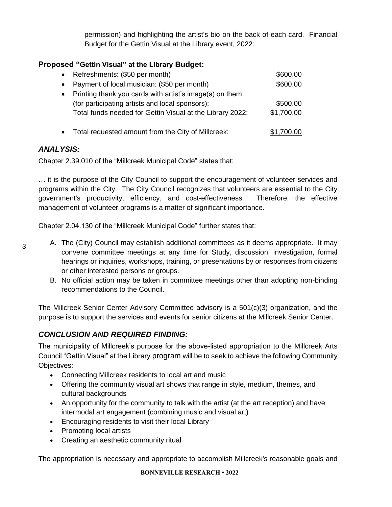permission) and highlighting the artist's bio on the back of each card. Financial Budget for the Gettin Visual at the Library event, 2022:

# **Proposed "Gettin Visual" at the Library Budget:**

|           | • Refreshments: (\$50 per month)                          | \$600.00   |
|-----------|-----------------------------------------------------------|------------|
| $\bullet$ | Payment of local musician: (\$50 per month)               | \$600.00   |
|           | • Printing thank you cards with artist's image(s) on them |            |
|           | (for participating artists and local sponsors):           | \$500.00   |
|           | Total funds needed for Gettin Visual at the Library 2022: | \$1,700.00 |
|           |                                                           |            |

• Total requested amount from the City of Millcreek:  $$1,700.00$ 

## *ANALYSIS:*

3

Chapter 2.39.010 of the "Millcreek Municipal Code" states that:

… it is the purpose of the City Council to support the encouragement of volunteer services and programs within the City. The City Council recognizes that volunteers are essential to the City government's productivity, efficiency, and cost-effectiveness. Therefore, the effective management of volunteer programs is a matter of significant importance.

Chapter 2.04.130 of the "Millcreek Municipal Code" further states that:

- A. The (City) Council may establish additional committees as it deems appropriate. It may convene committee meetings at any time for Study, discussion, investigation, formal hearings or inquiries, workshops, training, or presentations by or responses from citizens or other interested persons or groups.
	- B. No official action may be taken in committee meetings other than adopting non-binding recommendations to the Council.

The Millcreek Senior Center Advisory Committee advisory is a 501(c)(3) organization, and the purpose is to support the services and events for senior citizens at the Millcreek Senior Center.

# *CONCLUSION AND REQUIRED FINDING:*

The municipality of Millcreek's purpose for the above-listed appropriation to the Millcreek Arts Council "Gettin Visual" at the Library program will be to seek to achieve the following Community Objectives:

- Connecting Millcreek residents to local art and music
- Offering the community visual art shows that range in style, medium, themes, and cultural backgrounds
- An opportunity for the community to talk with the artist (at the art reception) and have intermodal art engagement (combining music and visual art)
- Encouraging residents to visit their local Library
- Promoting local artists
- Creating an aesthetic community ritual

The appropriation is necessary and appropriate to accomplish Millcreek's reasonable goals and

#### **BONNEVILLE RESEARCH • 2022**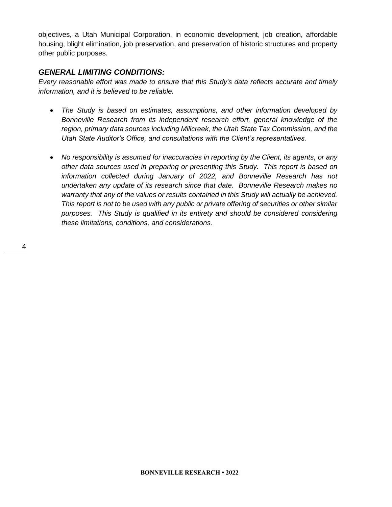objectives, a Utah Municipal Corporation, in economic development, job creation, affordable housing, blight elimination, job preservation, and preservation of historic structures and property other public purposes.

# *GENERAL LIMITING CONDITIONS:*

*Every reasonable effort was made to ensure that this Study's data reflects accurate and timely information, and it is believed to be reliable.*

- *The Study is based on estimates, assumptions, and other information developed by Bonneville Research from its independent research effort, general knowledge of the region, primary data sources including Millcreek, the Utah State Tax Commission, and the Utah State Auditor's Office, and consultations with the Client's representatives.*
- *No responsibility is assumed for inaccuracies in reporting by the Client, its agents, or any other data sources used in preparing or presenting this Study. This report is based on information collected during January of 2022, and Bonneville Research has not undertaken any update of its research since that date. Bonneville Research makes no warranty that any of the values or results contained in this Study will actually be achieved. This report is not to be used with any public or private offering of securities or other similar purposes. This Study is qualified in its entirety and should be considered considering these limitations, conditions, and considerations.*